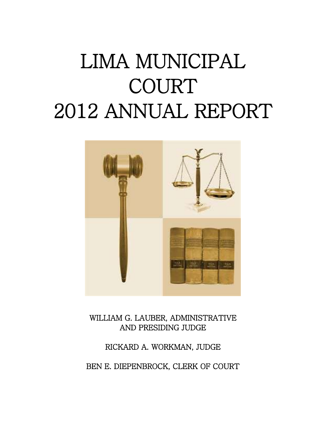# LIMA MUNICIPAL COURT 2012 ANNUAL REPORT



WILLIAM G. LAUBER, ADMINISTRATIVE AND PRESIDING JUDGE

RICKARD A. WORKMAN, JUDGE BEN E. DIEPENBROCK, CLERK OF COURT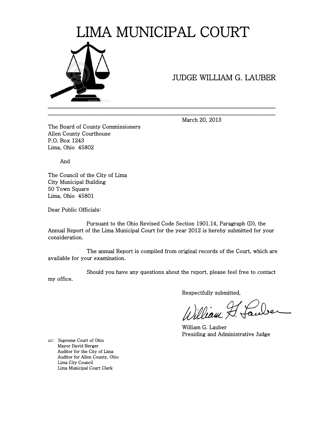

# JUDGE WILLIAM G. LAUBER

March 20, 2013

The Board of County Commissioners Allen County Courthouse P.O. Box 1243 Lima, Ohio 45802

And

The Council of the City of Lima City Municipal Building 50 Town Square Lima, Ohio 45801

Dear Public Officials:

 Pursuant to the Ohio Revised Code Section 1901.14, Paragraph (D), the Annual Report of the Lima Municipal Court for the year 2012 is hereby submitted for your consideration.

\_\_\_\_\_\_\_\_\_\_\_\_\_\_\_\_\_\_\_\_\_\_\_\_\_\_\_\_\_\_\_\_\_\_\_\_\_\_\_\_\_\_\_\_\_\_\_\_\_\_\_\_\_\_\_\_\_\_\_\_\_\_\_\_\_\_\_\_\_\_\_\_\_\_\_\_\_\_\_\_\_\_\_\_\_\_\_

 The annual Report is compiled from original records of the Court, which are available for your examination.

 Should you have any questions about the report, please feel free to contact my office.

Respectfully submitted,

William F. La.

 William G. Lauber Presiding and Administrative Judge

cc: Supreme Court of Ohio Mayor David Berger Auditor for the City of Lima Auditor for Allen County, Ohio Lima City Council Lima Municipal Court Clerk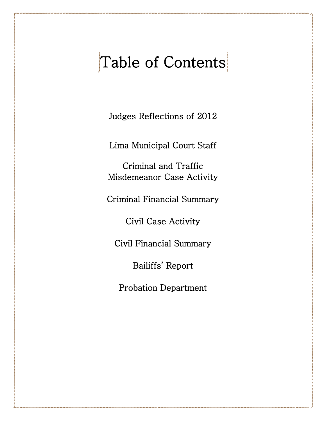# Table of Contents

Judges Reflections of 2012

Lima Municipal Court Staff

Criminal and Traffic Misdemeanor Case Activity

Criminal Financial Summary

Civil Case Activity

Civil Financial Summary

Bailiffs' Report

Probation Department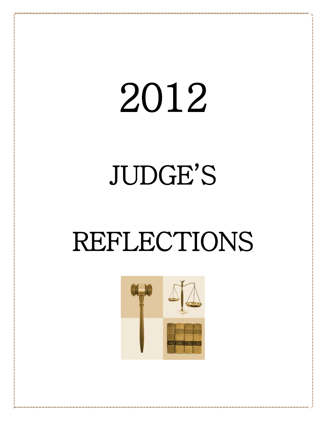# 2012

# JUDGE'S

# REFLECTIONS

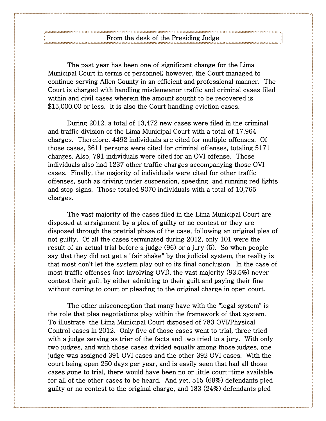### From the desk of the Presiding Judge

The past year has been one of significant change for the Lima Municipal Court in terms of personnel; however, the Court managed to continue serving Allen County in an efficient and professional manner. The Court is charged with handling misdemeanor traffic and criminal cases filed within and civil cases wherein the amount sought to be recovered is \$15,000.00 or less. It is also the Court handling eviction cases.

During 2012, a total of 13,472 new cases were filed in the criminal and traffic division of the Lima Municipal Court with a total of 17,964 charges. Therefore, 4492 individuals are cited for multiple offenses. Of those cases, 3611 persons were cited for criminal offenses, totaling 5171 charges. Also, 791 individuals were cited for an OVI offense. Those individuals also had 1237 other traffic charges accompanying those OVI cases. Finally, the majority of individuals were cited for other traffic offenses, such as driving under suspension, speeding, and running red lights and stop signs. Those totaled 9070 individuals with a total of 10,765 charges.

The vast majority of the cases filed in the Lima Municipal Court are disposed at arraignment by a plea of guilty or no contest or they are disposed through the pretrial phase of the case, following an original plea of not guilty. Of all the cases terminated during 2012, only 101 were the result of an actual trial before a judge (96) or a jury (5). So when people say that they did not get a "fair shake" by the judicial system, the reality is that most don't let the system play out to its final conclusion. In the case of most traffic offenses (not involving OVI), the vast majority (93.5%) never contest their guilt by either admitting to their guilt and paying their fine without coming to court or pleading to the original charge in open court.

The other misconception that many have with the "legal system" is the role that plea negotiations play within the framework of that system. To illustrate, the Lima Municipal Court disposed of 783 OVI/Physical Control cases in 2012. Only five of those cases went to trial, three tried with a judge serving as trier of the facts and two tried to a jury. With only two judges, and with those cases divided equally among those judges, one judge was assigned 391 OVI cases and the other 392 OVI cases. With the court being open 250 days per year, and is easily seen that had all those cases gone to trial, there would have been no or little court-time available for all of the other cases to be heard. And yet, 515 (68%) defendants pled guilty or no contest to the original charge, and 183 (24%) defendants pled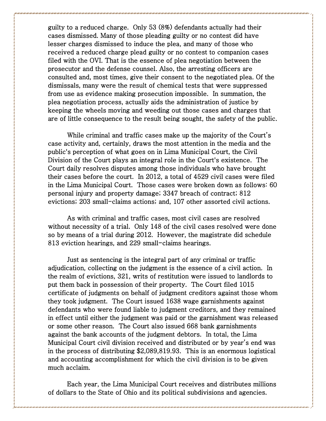guilty to a reduced charge. Only 53 (8%) defendants actually had their cases dismissed. Many of those pleading guilty or no contest did have lesser charges dismissed to induce the plea, and many of those who received a reduced charge plead guilty or no contest to companion cases filed with the OVI. That is the essence of plea negotiation between the prosecutor and the defense counsel. Also, the arresting officers are consulted and, most times, give their consent to the negotiated plea. Of the dismissals, many were the result of chemical tests that were suppressed from use as evidence making prosecution impossible. In summation, the plea negotiation process, actually aids the administration of justice by keeping the wheels moving and weeding out those cases and charges that are of little consequence to the result being sought, the safety of the public.

While criminal and traffic cases make up the majority of the Court's case activity and, certainly, draws the most attention in the media and the public's perception of what goes on in Lima Municipal Court, the Civil Division of the Court plays an integral role in the Court's existence. The Court daily resolves disputes among those individuals who have brought their cases before the court. In 2012, a total of 4529 civil cases were filed in the Lima Municipal Court. Those cases were broken down as follows: 60 personal injury and property damage; 3347 breach of contract; 812 evictions; 203 small-claims actions; and, 107 other assorted civil actions.

As with criminal and traffic cases, most civil cases are resolved without necessity of a trial. Only 148 of the civil cases resolved were done so by means of a trial during 2012. However, the magistrate did schedule 813 eviction hearings, and 229 small-claims hearings.

Just as sentencing is the integral part of any criminal or traffic adjudication, collecting on the judgment is the essence of a civil action. In the realm of evictions, 321, writs of restitution were issued to landlords to put them back in possession of their property. The Court filed 1015 certificate of judgments on behalf of judgment creditors against those whom they took judgment. The Court issued 1638 wage garnishments against defendants who were found liable to judgment creditors, and they remained in effect until either the judgment was paid or the garnishment was released or some other reason. The Court also issued 668 bank garnishments against the bank accounts of the judgment debtors. In total, the Lima Municipal Court civil division received and distributed or by year's end was in the process of distributing \$2,089,819.93. This is an enormous logistical and accounting accomplishment for which the civil division is to be given much acclaim.

Each year, the Lima Municipal Court receives and distributes millions of dollars to the State of Ohio and its political subdivisions and agencies.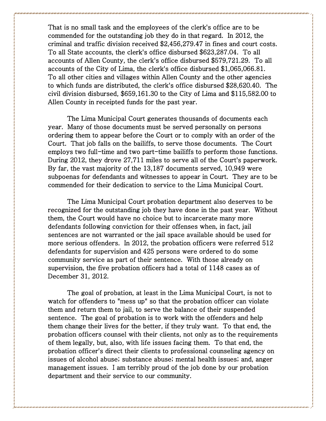That is no small task and the employees of the clerk's office are to be commended for the outstanding job they do in that regard. In 2012, the criminal and traffic division received \$2,456,279.47 in fines and court costs. To all State accounts, the clerk's office disbursed \$623,287.04. To all accounts of Allen County, the clerk's office disbursed \$579,721.29. To all accounts of the City of Lima, the clerk's office disbursed \$1,065,066.81. To all other cities and villages within Allen County and the other agencies to which funds are distributed, the clerk's office disbursed \$28,620.40. The civil division disbursed, \$659,161.30 to the City of Lima and \$115,582.00 to Allen County in receipted funds for the past year.

The Lima Municipal Court generates thousands of documents each year. Many of those documents must be served personally on persons ordering them to appear before the Court or to comply with an order of the Court. That job falls on the bailiffs, to serve those documents. The Court employs two full-time and two part-time bailiffs to perform those functions. During 2012, they drove 27,711 miles to serve all of the Court's paperwork. By far, the vast majority of the 13,187 documents served, 10,949 were subpoenas for defendants and witnesses to appear in Court. They are to be commended for their dedication to service to the Lima Municipal Court.

The Lima Municipal Court probation department also deserves to be recognized for the outstanding job they have done in the past year. Without them, the Court would have no choice but to incarcerate many more defendants following conviction for their offenses when, in fact, jail sentences are not warranted or the jail space available should be used for more serious offenders. In 2012, the probation officers were referred 512 defendants for supervision and 425 persons were ordered to do some community service as part of their sentence. With those already on supervision, the five probation officers had a total of 1148 cases as of December 31, 2012.

The goal of probation, at least in the Lima Municipal Court, is not to watch for offenders to "mess up" so that the probation officer can violate them and return them to jail, to serve the balance of their suspended sentence. The goal of probation is to work with the offenders and help them change their lives for the better, if they truly want. To that end, the probation officers counsel with their clients, not only as to the requirements of them legally, but, also, with life issues facing them. To that end, the probation officer's direct their clients to professional counseling agency on issues of alcohol abuse; substance abuse; mental health issues; and, anger management issues. I am terribly proud of the job done by our probation department and their service to our community.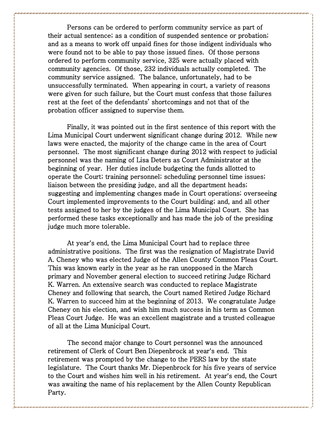Persons can be ordered to perform community service as part of their actual sentence; as a condition of suspended sentence or probation; and as a means to work off unpaid fines for those indigent individuals who were found not to be able to pay those issued fines. Of those persons ordered to perform community service, 325 were actually placed with community agencies. Of those, 232 individuals actually completed. The community service assigned. The balance, unfortunately, had to be unsuccessfully terminated. When appearing in court, a variety of reasons were given for such failure, but the Court must confess that those failures rest at the feet of the defendants' shortcomings and not that of the probation officer assigned to supervise them.

Finally, it was pointed out in the first sentence of this report with the Lima Municipal Court underwent significant change during 2012. While new laws were enacted, the majority of the change came in the area of Court personnel. The most significant change during 2012 with respect to judicial personnel was the naming of Lisa Deters as Court Administrator at the beginning of year. Her duties include budgeting the funds allotted to operate the Court; training personnel; scheduling personnel time issues; liaison between the presiding judge, and all the department heads; suggesting and implementing changes made in Court operations; overseeing Court implemented improvements to the Court building; and, and all other tests assigned to her by the judges of the Lima Municipal Court. She has performed these tasks exceptionally and has made the job of the presiding judge much more tolerable.

At year's end, the Lima Municipal Court had to replace three administrative positions. The first was the resignation of Magistrate David A. Cheney who was elected Judge of the Allen County Common Pleas Court. This was known early in the year as he ran unopposed in the March primary and November general election to succeed retiring Judge Richard K. Warren. An extensive search was conducted to replace Magistrate Cheney and following that search, the Court named Retired Judge Richard K. Warren to succeed him at the beginning of 2013. We congratulate Judge Cheney on his election, and wish him much success in his term as Common Pleas Court Judge. He was an excellent magistrate and a trusted colleague of all at the Lima Municipal Court.

The second major change to Court personnel was the announced retirement of Clerk of Court Ben Diepenbrock at year's end. This retirement was prompted by the change to the PERS law by the state legislature. The Court thanks Mr. Diepenbrock for his five years of service to the Court and wishes him well in his retirement. At year's end, the Court was awaiting the name of his replacement by the Allen County Republican Party.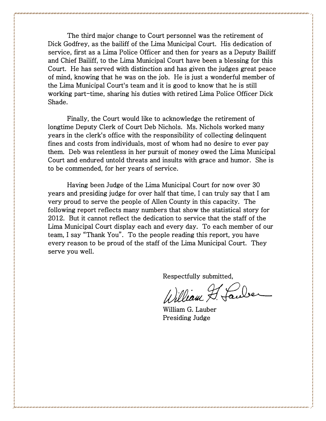The third major change to Court personnel was the retirement of Dick Godfrey, as the bailiff of the Lima Municipal Court. His dedication of service, first as a Lima Police Officer and then for years as a Deputy Bailiff and Chief Bailiff, to the Lima Municipal Court have been a blessing for this Court. He has served with distinction and has given the judges great peace of mind, knowing that he was on the job. He is just a wonderful member of the Lima Municipal Court's team and it is good to know that he is still working part-time, sharing his duties with retired Lima Police Officer Dick Shade.

Finally, the Court would like to acknowledge the retirement of longtime Deputy Clerk of Court Deb Nichols. Ms. Nichols worked many years in the clerk's office with the responsibility of collecting delinquent fines and costs from individuals, most of whom had no desire to ever pay them. Deb was relentless in her pursuit of money owed the Lima Municipal Court and endured untold threats and insults with grace and humor. She is to be commended, for her years of service.

Having been Judge of the Lima Municipal Court for now over 30 years and presiding judge for over half that time, I can truly say that I am very proud to serve the people of Allen County in this capacity. The following report reflects many numbers that show the statistical story for 2012. But it cannot reflect the dedication to service that the staff of the Lima Municipal Court display each and every day. To each member of our team, I say "Thank You". To the people reading this report, you have every reason to be proud of the staff of the Lima Municipal Court. They serve you well.

Respectfully submitted,

William I Fault

 William G. Lauber Presiding Judge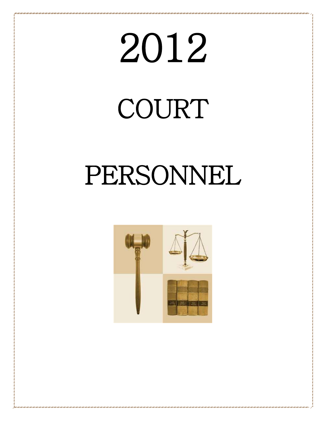# 2012

# COURT

# PERSONNEL

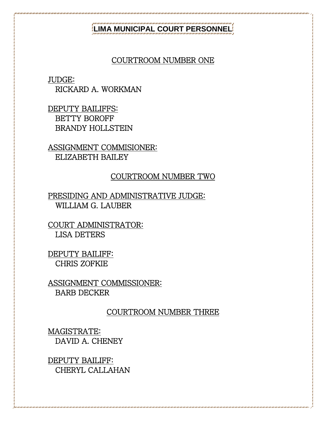# **LIMA MUNICIPAL COURT PERSONNEL**

### COURTROOM NUMBER ONE

JUDGE:

RICKARD A. WORKMAN

DEPUTY BAILIFFS: BETTY BOROFF BRANDY HOLLSTEIN

ASSIGNMENT COMMISIONER: ELIZABETH BAILEY

# COURTROOM NUMBER TWO

PRESIDING AND ADMINISTRATIVE JUDGE: WILLIAM G. LAUBER

COURT ADMINISTRATOR: LISA DETERS

DEPUTY BAILIFF: CHRIS ZOFKIE

ASSIGNMENT COMMISSIONER: BARB DECKER

## COURTROOM NUMBER THREE

MAGISTRATE: DAVID A. CHENEY

DEPUTY BAILIFF: CHERYL CALLAHAN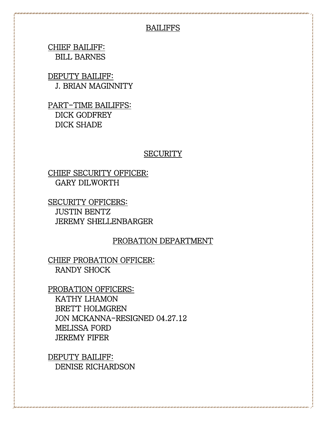## BAILIFFS

CHIEF BAILIFF: BILL BARNES

DEPUTY BAILIFF: J. BRIAN MAGINNITY

PART-TIME BAILIFFS: DICK GODFREY DICK SHADE

### **SECURITY**

CHIEF SECURITY OFFICER: GARY DILWORTH

SECURITY OFFICERS: JUSTIN BENTZ JEREMY SHELLENBARGER

# PROBATION DEPARTMENT

CHIEF PROBATION OFFICER: RANDY SHOCK

PROBATION OFFICERS: KATHY LHAMON BRETT HOLMGREN JON MCKANNA-RESIGNED 04.27.12 MELISSA FORD JEREMY FIFER

DEPUTY BAILIFF: DENISE RICHARDSON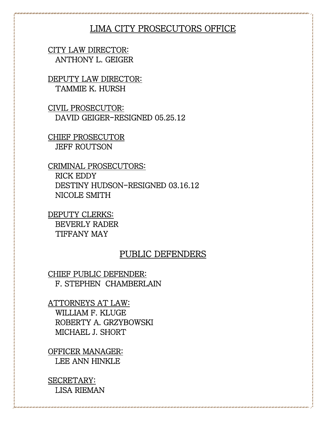# LIMA CITY PROSECUTORS OFFICE

CITY LAW DIRECTOR: ANTHONY L. GEIGER

DEPUTY LAW DIRECTOR: TAMMIE K. HURSH

CIVIL PROSECUTOR: DAVID GEIGER-RESIGNED 05.25.12

CHIEF PROSECUTOR JEFF ROUTSON

CRIMINAL PROSECUTORS: RICK EDDY DESTINY HUDSON-RESIGNED 03.16.12 NICOLE SMITH

DEPUTY CLERKS: BEVERLY RADER TIFFANY MAY

# PUBLIC DEFENDERS

CHIEF PUBLIC DEFENDER: F. STEPHEN CHAMBERLAIN

ATTORNEYS AT LAW: WILLIAM F. KLUGE ROBERTY A. GRZYBOWSKI MICHAEL J. SHORT

OFFICER MANAGER: LEE ANN HINKLE

SECRETARY: LISA RIEMAN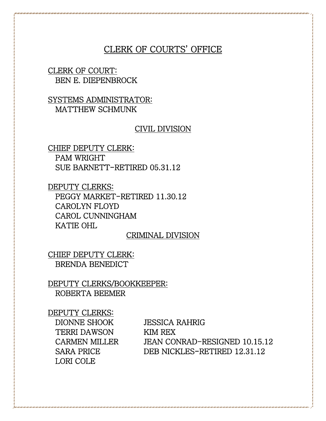# CLERK OF COURTS' OFFICE

CLERK OF COURT: BEN E. DIEPENBROCK

SYSTEMS ADMINISTRATOR: MATTHEW SCHMUNK

## CIVIL DIVISION

CHIEF DEPUTY CLERK: PAM WRIGHT SUE BARNETT-RETIRED 05.31.12

DEPUTY CLERKS: PEGGY MARKET-RETIRED 11.30.12 CAROLYN FLOYD CAROL CUNNINGHAM KATIE OHL

## CRIMINAL DIVISION

CHIEF DEPUTY CLERK: BRENDA BENEDICT

DEPUTY CLERKS/BOOKKEEPER: ROBERTA BEEMER

DEPUTY CLERKS: DIONNE SHOOK JESSICA RAHRIG TERRI DAWSON KIM REX LORI COLE

 CARMEN MILLER JEAN CONRAD-RESIGNED 10.15.12 SARA PRICE DEB NICKLES-RETIRED 12.31.12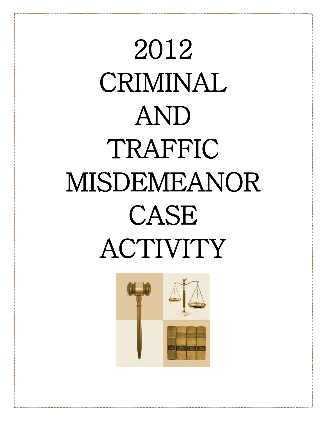# 2012 CRIMINAL AND TRAFFIC MISDEMEANOR CASE ACTIVITY

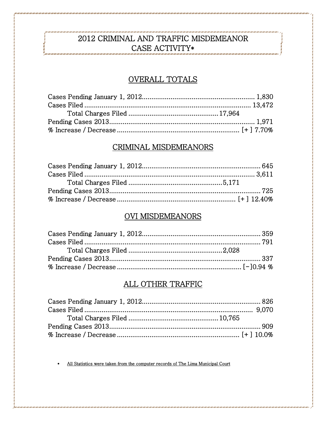# 2012 CRIMINAL AND TRAFFIC MISDEMEANOR CASE ACTIVITY\*

# OVERALL TOTALS

## CRIMINAL MISDEMEANORS

## **OVI MISDEMEANORS**

# ALL OTHER TRAFFIC

All Statistics were taken from the computer records of The Lima Municipal Court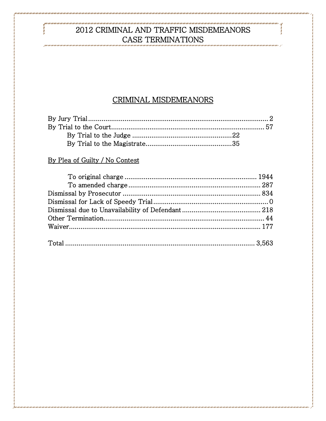### 2012 CRIMINAL AND TRAFFIC MISDEMEANORS **CASE TERMINATIONS** .<br>כל מסכל מסכיב מסכיב מסכיב מסכיב מסכיב מסכיב מסכיב מסכיב מסכיב מסכיב מסכיב מסכיב מסכיב מסכיב מסכיב מסכיב מסכיב ו

# CRIMINAL MISDEMEANORS

# By Plea of Guilty / No Contest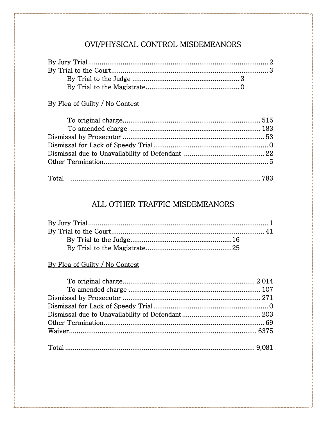# OVI/PHYSICAL CONTROL MISDEMEANORS

## By Plea of Guilty / No Contest

| Total | 783 |
|-------|-----|

# ALL OTHER TRAFFIC MISDEMEANORS

# By Plea of Guilty / No Contest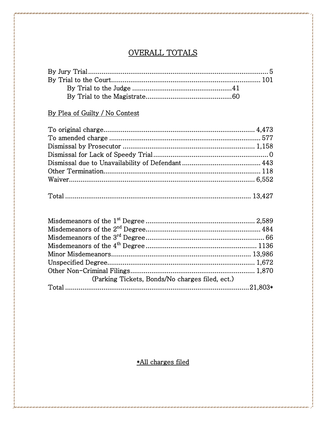# OVERALL TOTALS

# By Plea of Guilty / No Contest

|--|--|--|--|--|--|--|

| (Parking Tickets, Bonds/No charges filed, ect.) |  |
|-------------------------------------------------|--|
|                                                 |  |

\*All charges filed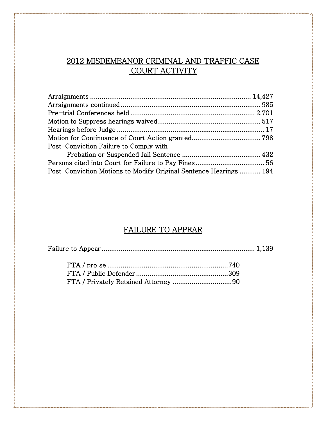# 2012 MISDEMEANOR CRIMINAL AND TRAFFIC CASE COURT ACTIVITY

| Post-Conviction Failure to Comply with                            |  |
|-------------------------------------------------------------------|--|
|                                                                   |  |
|                                                                   |  |
| Post-Conviction Motions to Modify Original Sentence Hearings  194 |  |

# FAILURE TO APPEAR

|--|--|--|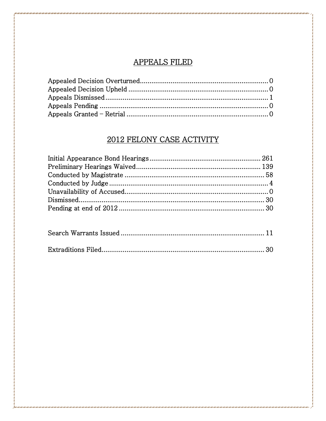# **APPEALS FILED**

# 2012 FELONY CASE ACTIVITY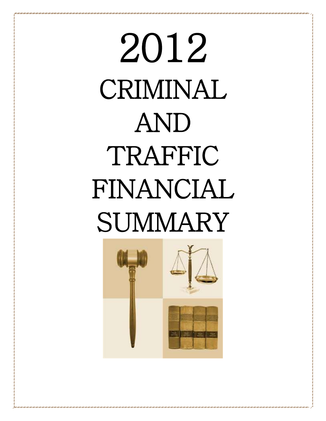# 2012 CRIMINAL AND TRAFFIC FINANCIAL **SUMMARY**

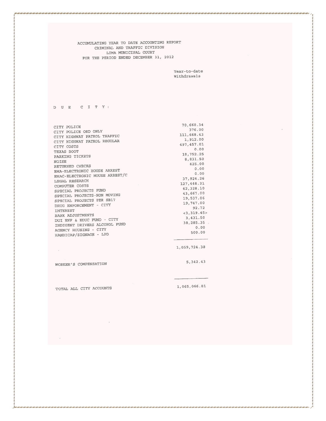> Year-to-date Withdrawals

#### 

| <b>CITY POLICE</b>                                          | 70,660.34      |
|-------------------------------------------------------------|----------------|
| CITY POLICE ORD ONLY                                        | 376.00         |
| CITY HIGHWAY PATROL TRAFFIC                                 | 111,668.43     |
| CITY HIGHWAY PATROL REGULAR                                 | 1,912.00       |
| CITY COSTS                                                  | 497,457.01     |
| TEXAS BOOT                                                  | 0.00           |
| PARKING TICKETS                                             | 18,752.25      |
|                                                             | 8,831.50       |
| NOISE                                                       | 425.00         |
| RETURNED CHECKS<br>EHA-ELECTRONIC HOUSE ARREST              | 0.00           |
| EHAC-ELECTRONIC HOUSE ARREST/C                              | 0.00           |
|                                                             | 37, 924.26     |
| LEGAL RESEARCH                                              | 127, 448.31    |
| COMPUTER COSTS                                              | 62, 328.10     |
| SPECIAL PROJECTS FUND<br>SPECIAL PROJECTS-NON MOVING        | 43,667.00      |
| SPECIAL PROJECTS PER SB17                                   | 19,537.06      |
| DRUG ENFORCEMENT - CITY                                     | 19,747.00      |
|                                                             | 92.72          |
| <b>INTEREST</b>                                             | $<$ 3, 319.45> |
| <b>BANK ADJUSTMENTS</b>                                     | 3,431.50       |
| DUI ENF & EDUC FUND - CITY<br>INDIGENT DRIVERS ALCOHOL FUND | 38,285.35      |
| AGENCY HOUSING - CITY                                       | 0.00           |
| HANDICAP/SIGNAGE - LPD                                      | 500.00         |
|                                                             |                |
|                                                             | 1,059,724.38   |

WORKER'S COMPENSATION

TOTAL ALL CITY ACCOUNTS

 $\bar{\mathcal{A}}$ 

 $1,065,066.81$ 

 $5,342.43$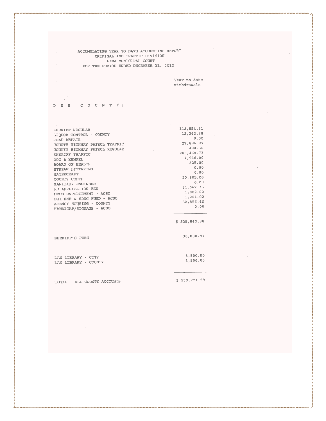> Year-to-date Withdrawals

 $\bar{z}$ 

 $\mathcal{L}^{\text{max}}$ 

| SHERIFF REGULAR                            | 118,554.31           |
|--------------------------------------------|----------------------|
| LIQUOR CONTROL - COUNTY                    | 12,362.28            |
| ROAD REPAIR                                | 0.00                 |
| COUNTY HIGHWAY PATROL TRAFFIC              | 27,894.87            |
| COUNTY HIGHWAY PATROL REGULAR              | 488.30               |
| SHERIFF TRAFFIC                            | 285,464.73           |
| DOG & KENNEL                               | 4,016.00             |
| BOARD OF HEALTH                            | 325.00               |
| STREAM LITTERING                           | 0.00                 |
| WATERCRAFT                                 | 0.00                 |
| COUNTY COSTS                               | 20,605.08            |
| SANITARY ENGINEER                          | 0.00                 |
|                                            | 31,067.35            |
| PD APPLICATION FEE                         | 1,002.00             |
| DRUG ENFORCEMENT - ACSO                    | 1,204.00             |
| DUI ENF & EDUC FUND - ACSO                 | 32,856.46            |
| AGENCY HOUSING - COUNTY                    | 0.00                 |
| HANDICAP/SIGNAGE - ACSO                    |                      |
|                                            | \$535,840.38         |
| SHERIFF'S FEES                             | 36,880.91            |
| LAW LIBRARY - CITY<br>LAW LIBRARY - COUNTY | 3,500.00<br>3,500.00 |
| TOTAL - ALL COUNTY ACCOUNTS                | \$579,721.29         |

 $\sim 10^6$ 

TOTAL - ALL COUNTY ACCOUNTS

 $\bar{z}$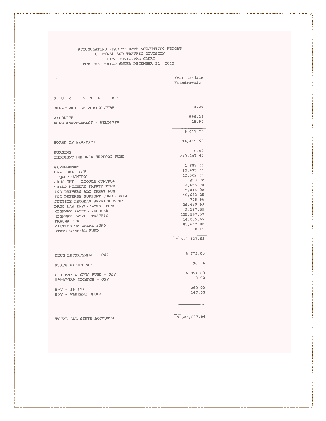|                                             | Withdrawals   |
|---------------------------------------------|---------------|
| DUE STATE:                                  |               |
| DEPARTMENT OF AGRICULTURE                   | 0.00          |
| WILDLIFE                                    | 596.25        |
| DRUG ENFORCEMENT - WILDLIFE                 | 15.00         |
|                                             | \$611.25      |
| BOARD OF PHARMACY                           | 14, 415.50    |
| NURSING                                     | 0.00          |
| INDIGENT DEFENSE SUPPORT FUND               | 240,297.64    |
| EXPUNGEMENT                                 | 1,887.00      |
| SEAT BELT LAW                               | 32,475.00     |
| LIOUOR CONTROL                              | 12,362.28     |
| DRUG ENF - LIQUOR CONTROL                   | 250.00        |
| CHILD HIGHWAY SAFETY FUND                   | 2,455.00      |
| IND DRIVERS ALC TREAT FUND                  | 5,016.00      |
| IND DEFENSE SUPPORT FUND HB562              | 45,662.25     |
| JUSTICE PROGRAM SERVICE FUND                | 778.66        |
|                                             | 26,450.63     |
| DRUG LAW ENFORCEMENT FUND                   | 2,197.35      |
| HIGHWAY PATROL REGULAR                      | 125,597.57    |
| HIGHWAY PATROL TRAFFIC                      | 14,035.69     |
| TRAUMA FUND                                 | 85,662.88     |
| VICTIMS OF CRIME FUND<br>STATE GENERAL FUND | 0.00          |
|                                             | \$595,127.95  |
| DRUG ENFORCEMENT - OSP                      | 5,775.00      |
| STATE WATERCRAFT                            | 96.34         |
| DUI ENF & EDUC FUND - OSP                   | 6,854.00      |
| HANDICAP SIGNAGE - OSP                      | 0,00          |
| BMV - SB 121                                | 260.00        |
| BMV - WARRANT BLOCK                         | 147.00        |
|                                             | \$623, 287.04 |
| TOTAL ALL STATE ACCOUNTS                    |               |

Year-to-date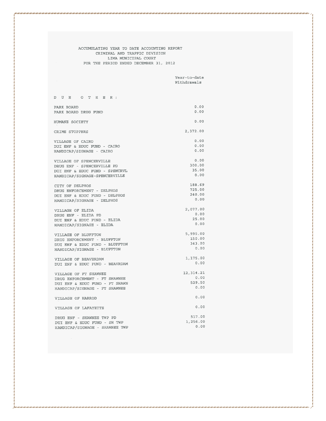Year-to-date Withdrawals

| DUE OTHER:                     |            |
|--------------------------------|------------|
| PARK BOARD                     | 0.00       |
| PARK BOARD DRUG FUND           | 0.00       |
| HUMANE SOCIETY                 | 0.00       |
| <b>CRIME STOPPERS</b>          | 2,372.00   |
| VILLAGE OF CAIRO               | 0.00       |
| DUI ENF & EDUC FUND - CAIRO    | 0.00       |
| HANDICAP/SIGNAGE - CAIRO       | 0.00       |
| VILLAGE OF SPENCERVILLE        | 0.00       |
| DRUG ENF - SPENCERVILLE PD     | 300.00     |
| DUI ENF & EDUC FUND - SPENCRVL | 35.00      |
| HANDICAP/SIGNAGE-SPENCERVILLE  | 0.00       |
| CITY OF DELPHOS                | 188.69     |
| DRUG ENFORCEMENT - DELPHOS     | 725.00     |
| DUI ENF & EDUC FUND - DELPHOS  | 240.00     |
| HANDICAP/SIGNAGE - DELPHOS     | 0.00       |
| VILLAGE OF ELIDA               | 2,077.00   |
| DRUG ENF - ELIDA PD            | 0.00       |
| DUI ENF & EDUC FUND - ELIDA    | 25.00      |
| HANDICAP/SIGNAGE - ELIDA       | 0.00       |
| VILLAGE OF BLUFFTON            | 5,995.00   |
| DRUG ENFORCEMENT - BLUFFTON    | 150.00     |
| DUI ENF & EDUC FUND - BLUFFTON | 343.00     |
| HANDICAP/SIGNAGE - BLUFFTON    | 0.00       |
| VILLAGE OF BEAVERDAM           | 1,175.00   |
| DUI ENF & EDUC FUND - BEAVRDAM | 0.00       |
| VILLAGE OF FT SHAWNEE          | 12, 314.21 |
| DRUG ENFORCEMENT - FT SHAWNEE  | 0.00       |
| DUI ENF & EDUC FUND - FT SHAWN | 529.50     |
| HANDICAP/SIGNAGE - FT SHAWNEE  | 0.00       |
| VILLAGE OF HARROD              | 0.00       |
| <b>VILLAGE OF LAFAYETTE</b>    | 0.00       |
| DRUG ENF - SHAWNEE TWP PD      | 517.00     |
| DUI ENF & EDUC FUND - SH TWP   | 1,256.00   |
| HANDICAP/SIGNAGE - SHAWNEE TWP | 0.00       |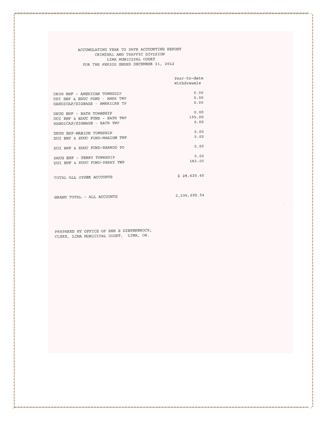Year-to-date

|                                | Withdrawals    |
|--------------------------------|----------------|
| DRUG ENF - AMERICAN TOWNSHIP   | 0.00           |
| DUI ENF & EDUC FUND - AMER TWP | 0.00           |
| HANDICAP/SIGNAGE - AMERICAN TP | 0.00           |
| DRUG ENF - BATH TOWNSHIP       | 0.00           |
| DUI ENF & EDUC FUND - BATH TWP | 195.00         |
| HANDICAP/SIGNAGE - BATH TWP    | 0.00           |
| DRUG ENF-MARION TOWNSHIP       | 0.00           |
| DUI ENF & EDUC FUND-MARION TWP | 0.00           |
| DUI ENF & EDUC FUND-HARROD PD  | 0.00           |
| DRUG ENF - PERRY TOWNSHIP      | 0.00           |
| DUI ENF & EDUC FUND-PERRY TWP  | 183.00         |
| TOTAL ALL OTHER ACCOUNTS       | \$28,620.40    |
| CRAND TOTAL - ALL ACCOUNTS     | 2, 296, 695.54 |

PREPARED BY OFFICE OF BEN E DIEPENBROCK,

GRAND TOTAL - ALL ACCOUNTS

CLERK, LIMA MUNICIPAL COURT, LIMA, OH.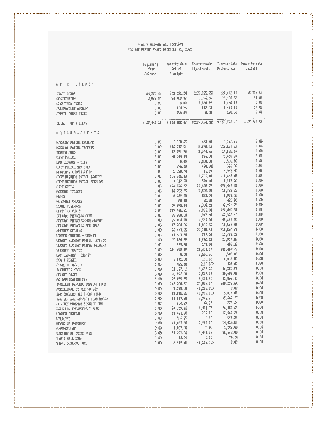# YEARLY SUNNARY ALL ACCOUNTS<br>FOR THE PERIOD ENDED DECEMBER 31, 2012

|                                                      | Beginning<br>Year<br>Balance | Year-to-date<br>Actual<br>Receipts | Year-to-date<br>Adjustnents     | Year-to-date<br>Hithdrawals | noath-to-date<br>Balance |
|------------------------------------------------------|------------------------------|------------------------------------|---------------------------------|-----------------------------|--------------------------|
| ITENS:<br>计子互替                                       |                              |                                    |                                 |                             |                          |
| STATE BOHDS                                          | 65,290.37                    | 362,621.24                         | (235,025.95)                    | 127,672.16                  | 45,213,56                |
| RESTITUTION                                          | 2,075.84                     | 23,459.07                          | 3,596.66                        | 29,100.57                   | 31.00                    |
| UHCLAINED FUNDS                                      | 0.00                         | 0.00                               | 1,160.19                        | 1,160.19                    | 0.00                     |
| <b>EREEPAYNENT ACCIUNT</b>                           | 0,00                         | 724.76                             | 792.42                          | 1,493.18                    | 24.00                    |
| APPEAL COURT COSTS                                   | 0.00                         | 150.00                             | û. 00                           | 150.00                      | 0.00                     |
| TATAL - UPEN ITEMS                                   | 5 67.366.21                  | \$36,955.07                        | 9〈229, 476. 68〉 \$ 159, 576. 10 |                             | \$5.268.50               |
| <b>D X S B B B S E H E H 1 S :</b>                   |                              |                                    |                                 |                             |                          |
| HICHMAY PATROL REGULAR                               | 0,00                         | 1,528.65                           | 668.70                          | 2,197. 班                    | 0.00                     |
| HIGHHAY PATROL TRAFFIC                               | 0.00                         | 116,917.51                         | 8,680.06                        | 125,597.57                  | 0.00                     |
| TRABMA FUND                                          | 0,00                         | 12,991.93                          | 1,043.76                        | 14,035.69                   | 0.00                     |
| <b>CITY POLICE</b>                                   | 0.00                         | 70,034.34                          | 626.00                          | 70,660.34                   | 0.00                     |
| LAW LIBRARY - CITY                                   | 0.00                         | 0.00                               | 3,500.00                        | 3,500,00                    | 0.00                     |
| CITY PULICE ORD DNLY                                 | 0.00                         | 396.00                             | (20.00)                         | 376.00                      | 0.00                     |
| <b>HIRKER'S CUMPENSATION</b>                         | 0.00                         | 5,328.74                           | 13.69                           | 5,342.43                    | 0,00                     |
| CITY HIGHIAY PATRIL TRAFFIC                          | 0.00                         | 103,935.03                         | 7,733,40                        | 111,668.43                  | 0.00<br>0.08             |
| CITY HIGHNAY PATROL REGULAR                          | 0.00                         | 1,317,60                           | 594.40                          | 1,912.60                    | 0.00                     |
| <b>GITY COSTS</b>                                    | 0.00                         | 424,826.72                         | 72,630.29                       | 497,457.61<br>18,752.25     | 0.00                     |
| PARKING TICKETS                                      | 0.00                         | 16,252.25                          | 2,500,00<br>562.00              | 8,031.50                    | 0.00                     |
| <b>NHISE</b>                                         | 0.90                         | 8,269.50<br>400.00                 | 25.00                           | 425.00                      | 0,00                     |
| <b>RETURNED CHECKS</b>                               | 0.00.                        | 35,585.64                          | 2,338.62                        | 37,924.26                   | 0.00                     |
| LEGAL RESEARCH                                       | 0.00                         | 119,465.31                         | 7,983.00                        | 127,448.31                  | 0.00                     |
| CHAPATER CUSTS                                       | 0.99<br>0.00                 | 58,380.50                          | 3,947.60                        | 62,328.10                   | 0.00                     |
| SPECIAL PRIJECTS FURD<br>SPECIAL PROJECTS-HOW NOVING | 0.00                         | 39,104.00                          | 4,563.00                        | 43,667.00                   | 0.00                     |
| SPECIAL PRIMECTS PER SB17                            | 0.00                         | 17,704.06                          | 1,833,00                        | 19,537.06                   | 0.00                     |
| <b>SHERIFF REGULAR</b>                               | 0.00                         | 96,443.85                          | 22,110.46                       | 118,554.31                  | 0.00                     |
| LIQUOR CONTROL - COUNTY                              | 0.00                         | 11,583.28                          | 779.00                          | 12, 362, 28                 | 0,00                     |
| CIBRIY HIGHIAY PATRUL TRAFFIC                        | 0.00                         | 25, 964, 79                        | 1,930.08                        | 27,894.87                   | 0,00                     |
| COUNTY HIGHNAY PATROL REGULAR                        | 0.00                         | 339.70                             | 148.60                          | 488.30                      | 0.00                     |
| SHERIFF TRAFFIC                                      | 0.00                         | 264,158.69                         | 21,306.04                       | 285, 464.73                 | 0.00                     |
| LAW LIBRARY - COUNTY                                 | 0.00                         | û. 00                              | 3,500.00                        | 3,500.00                    | 0.00                     |
| DOG & KENNEL                                         | 0.00                         | 3,861.00                           | 155.00                          | 4,016.00                    | 0,00                     |
| <b>BBARD OF HEALTH</b>                               | 0.00                         | 425.00                             | (100.00)                        | 325, 90                     | 0.00                     |
| SHERIFF'S FEES                                       | 0.00                         | 31,197.71                          | 5,683,20                        | 36,880.91                   | 0.00                     |
| COUNTY CUSTS                                         | 0,00                         | 18,092.30                          | 2,512.78                        | 20,605.08                   | 0.00                     |
| PD APPLICATION FEE                                   | 0.00                         | 25,755.85                          | 5,311.50                        | 31,067.35                   | 0.00                     |
| INDIGENT DEFENSE SUPPIRT FUND                        | 0.00                         | 216,208.57                         | 24,097.07                       | 240,297.64                  | 0.08                     |
| ADDITIONAL CC PER HD 562                             | 0,00                         | 1,298.00                           | (1, 298.00)                     | 0,00                        | 0.00                     |
| IND DRIVERS ALC TREAT FUND                           | 0.00                         | 11,015,85                          | (5, 999, 85)                    | 5,016,00                    | 0.00                     |
| IND DEFENSE SUPPORT FUND HB562                       | 0,00                         | 36,719,50                          | 8.942.75                        | 45,662.25                   | 0.00                     |
| JUSTICE PROGRAM SERVICE FUND                         | 0.00                         | 734, 39                            | 44.27                           | 778.66                      | 0.00                     |
| DRUG LAH ENFURCEMENT FUND                            | 0.00                         | 24, 969, 26                        | 1,481.37                        | 26,450.63                   | 0,00                     |
| LIQUES CONTSUL                                       | 0.00                         | 11,623.28                          | 739.00                          | 12,362.28                   | 0,00                     |
| HILBLIFE                                             | 0,00                         | 596.25                             | 0,00                            | 596.25                      | 0.00                     |
| <b>BIARD OF PHARMACY</b>                             | 0.60                         | 11,433.50                          | 2,982.00                        | 14,415.50                   | 0, 60                    |
| EXPUNCEMENT                                          | 0.00                         | 1,887.00                           | O. OO                           | 1,887.00                    | 0.09                     |
| AICLINZ OF CRINE LOND                                | 0,00                         | 81, 221.06                         | 4,441.82                        | 85,662.88                   | 0. OO                    |
| STATE HATERCRAFT                                     | 0.00                         | 96.34                              | 0.00                            | 96.34                       | 0.00                     |
| STATE GENERAL FUND                                   | 0.00                         | 6,119.95                           | (6, 119.95)                     | 0.00                        | 0,90                     |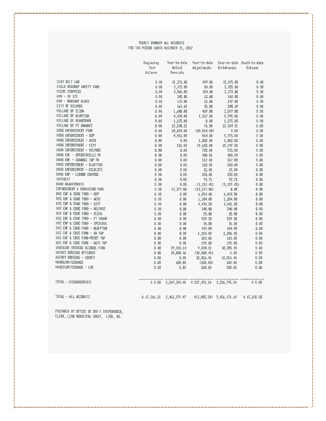#### YEARLY SUMMARY ALL ACCOUNTS FIR THE PERIOD ENDED DECEMBER 31, 2012

|                                           | Reginning    | Year-to-date | Year-to-date                           | Year-to-date            | Month-to-date  |
|-------------------------------------------|--------------|--------------|----------------------------------------|-------------------------|----------------|
|                                           | Year.        | Actual       | Adjustments                            | Hithdrawals             | <b>Salance</b> |
|                                           | Balance      | Receipts     |                                        |                         |                |
| SEAT BELT LAW                             | 0.00         | 91,576.00    | 899.00                                 | 32,475.00               | 0.98           |
| CHILD HIGHHAY SAFETY FUND                 | 0.00         | 2,375.00     | 89.00                                  | 2,455.00                | 0.00           |
| <b>CRIME STOPPERS</b>                     | 0.00         | 2,868.00     | 304.00                                 | 2,372.00                | 0, 00          |
| 調料 - 3B 121                               | 0,00         | 245.00       | 15,00                                  | 260,00                  | 0,00           |
| <b>BRV - HARRAKT BLDCK</b>                | 0.00         | 132.00       | 15.00                                  | 147.00                  | 0.00           |
| CITY OF DELPHOS                           | 0.90         | 163.69       | 25.00                                  | 188.69                  | 0,00           |
| VILLAGE OF ELIDA                          | 0.00         | 1,608.00     | 469.00                                 | 2,077.00                | 0.00           |
| <b>VELLAGE OF BLUFFTON</b>                | 0.00         | 4,478.00     | 1,517,00                               | 5,995.00                | 0.00           |
| <b>VILLAGE DF BEAVERDAN</b>               | 0.00         | 1,175.00     | 0.60                                   | 1,175.00                | 0.00           |
| VILLAGE UF FT SHAHNEE                     | 0.00         | 12,238.21    | 76.00                                  | 12,314.21               | 0.00           |
| DRUG ENFORCEMENT FUND                     | . 0.00       | 20,054.00    | (20, 054, 00)                          | 0.00                    | 0.00           |
| <b>DRUG ENFINCENENT - OSP</b>             | 0.00         | 4,961.00     | 814.00                                 | 5,775.00                | 0.00           |
| DRUG EHFORCEMENT – ACSB                   | 0.00         | 0,00         | 1,002.00                               | 1,002.00                | 0.00           |
| DRUG ENFIRCEMENT - CITY                   | 0.00         | 125.00       | 19,622.00                              | 19,747.00               | 0.00           |
| DRUG ENFORCEMENT - DELPHOS                | 0.00         | 0,00         | 725.00                                 | 725.00                  | 0.00           |
| <b>DRUG ENF - SPENCENVILLE PD</b>         | 0.00         | 0.00         | 300.00                                 | 300.00                  | 0.90           |
| DRUG ENF - SHAWEE THP PD                  | 0.80         | 0,00         | 517.00                                 | 517.00                  | 0.00           |
| DRUG ENFORCEMENT - BLUFFTUN               | 0.00         | 0.00         | 150.00                                 | 158.80                  | 0.00           |
| DRUG ENFURCEMENT – HILDLIFE               | 0.00         | 0.00         | 15.00                                  | 15.00                   | 0.00           |
| DRUG ENF - LIQUOR CONTROL                 | 0.00         | 0.00         | 250.00                                 | 250.00                  | 0.00           |
| INTEREST                                  | 0.00         | 0.00         | 92.72                                  | 92.72                   | 0.00           |
| BANK ADJUSTMENTS                          | 0.00         | 0.00         | (3,319, 45)                            | (3,319,45)              | 0.00           |
| ENFURCEMENT & EDUCATION FUND              | 0,00         | 13,277.00    | (13, 277, 00)                          | 0.00                    | 0.00           |
| DIE EHF & EDUC FUHD - ESP                 | 0.00         | 0.00         | 6,854.00                               | 6,854.00                | 0.00           |
| DUI EHF & EDUC FUND - ACSU                | 0.00         | 0.00         | 1,204.00                               | 1,204.00                | 0.00           |
| DIX ENF & EDUC FUND - CITY                | 0.00         | 20<br>0.00   | 3,431.50                               | 3,431.50                | 0,00           |
| DEL EHF & EDUC FURD - DELPHOS             | 0.00         | 0.00         | 240.00                                 | 240.00                  | 0.00           |
| DUI ENF & EDUC FUND - ELIDA               | 0.00         | 0.00         | 25.00                                  | 25.00                   | 0.00           |
| BUI EHF & EDUC FUND - FT SHAIR            | 0.00         | 0.00         | 529.50                                 | 529.58                  | 0.00           |
| DUI EN & EDUC FUND - SPENCHVL             | 0.00         | 0.00         | 光. (1)                                 | 景. 00                   | 0,00           |
| <b>DUI EHF &amp; EDUC FUHD - BLUFFTUH</b> | 0.00         | 0,00         | 343.00                                 | 343.00                  | 0.00           |
| DUI ENT & EDUC FUND - SH TIP              | 0.00         | 0.00         | 1,256.00                               | 1,256.00                | 0.60           |
| DUI ENT & EDUC FUND-PERRY TUP             | 0.00         | 0.00         | 183.00                                 | 103.00                  | 0.00           |
| DUI EXF & EDUC FUXD - BATH THP            | 0.00         | 0.00         | 1%.00                                  | 195.00                  | 0.00           |
| INDIGENT DRIVERS ALCOHOL FUND             | 0.00         | 29,265.14    | 9,020.21                               | 38,285.35               | 0.00           |
| <b>GEENCY HOUSING OFFENDER</b>            | 0.00         | 30,808.46    | (30, 808, 46)                          | 0,00                    | 0.00           |
| AGENCY HIRISING - CHINTY                  | 0.00         | 0.00         | 32,856.46                              | 32,856.46               | 0.00           |
| HANDICAP/SIGNAGE                          | 0,00         | 400.00       | < 00.00                                | 100.00                  | 0.00           |
| HARBICAP/SIGNAGE - LPD                    | 0.00         | 0.00         | 500,00                                 | 500.00                  | 0.00           |
|                                           |              |              |                                        |                         |                |
| <b>THTAL - DISBURSEMENTS</b>              | \$0.00       |              | 2,069,324.40 \$227,471.14 2,296,795.54 |                         | \$0.00         |
| TOTAL - ALL ACCOUNTS                      | \$ 67,366.21 | 2,456,279.47 |                                        | 訳2,005.54) 2,456,371.64 | \$ 65,268.50   |

PREPARED BY OFFICE OF BEN E DIEPENBROCK,  $\texttt{CLERK}$ ,  $\texttt{LYRA}$  municipal court,  $\texttt{LYMA}$ ,  $\texttt{OMR}$ .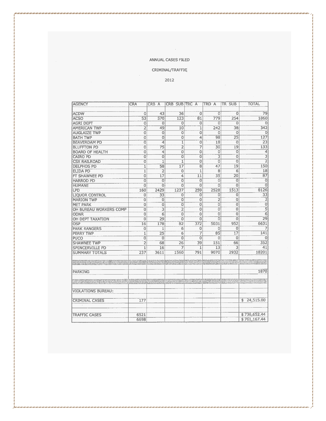$\sim 10^{-11}$ 

#### CRIMINAL/TRAFFIC

2012

| <b>AGENCY</b>             | <b>CRA</b>      | CRB A           | CRB SUB TRC A        |                    | TRD A          | TR SUB          | <b>TOTAL</b>              |
|---------------------------|-----------------|-----------------|----------------------|--------------------|----------------|-----------------|---------------------------|
|                           |                 |                 |                      |                    |                |                 |                           |
| <b>ACDW</b>               | $\Omega$        | 43              | 36                   | $\Omega$           | $\Omega$       | $\Omega$        | 79                        |
| <b>ACSO</b>               | $\overline{53}$ | 570             | 123                  | 81                 | 779            | 254             | 1860                      |
| <b>AGRI DEPT</b>          | $\overline{0}$  | 0               | $\circ$              | O                  | 0              | 0               | 0                         |
| <b>AMERICAN TWP</b>       | 2               | 49              | 10                   | ī                  | 242            | 38              | 342                       |
| <b>AUGLAIZE TWP</b>       | $\overline{0}$  | $\overline{0}$  | $\overline{0}$       | Ö                  | $\overline{0}$ | $\Omega$        | Ō                         |
| <b>BATH TWP</b>           | Ö               | $\overline{0}$  | $\overline{0}$       | 4                  | 98             | $\overline{25}$ | 127                       |
| <b>BEAVERDAM PD</b>       | $\overline{0}$  | 4               | 1                    | Ö                  | 18             | Ö               | $\overline{23}$           |
| <b>BLUFFTON PD</b>        | $\overline{O}$  | 75              | $\overline{2}$       | 7                  | 30             | 19              | 133                       |
| <b>BOARD OF HEALTH</b>    | õ               | 4               | $\overline{0}$       | ö                  | $\overline{0}$ | ö               | 4                         |
| <b>CAIRO PD</b>           | Ö               | $\overline{0}$  | $\mathbf{0}$         | 0                  |                | $\overline{0}$  | $\overline{\overline{3}}$ |
| <b>CSX RAILROAD</b>       | $\overline{0}$  | 1               | $\overline{1}$       | ö                  | $\mathbf 0$    | $\overline{0}$  | $\overline{2}$            |
| <b>DELPHOS PD</b>         | ī               | 58              | $\overline{17}$      | $\overline{\bf 8}$ | 47             | 19              | 150                       |
| <b>ELIDA PD</b>           | 1               | 2               | 0                    | ï                  | 8              | 6               | 18                        |
| FT SHAWNEE PD             | ö               | 17              | 4                    | 11                 | 35             | 20              | 87                        |
| <b>HARROD PD</b>          | 0               | 0               | $\theta$             | 0                  | 0              | 0               | 0                         |
| <b>HUMANE</b>             | ő               | ö               | $\overline{0}$       | $\overline{0}$     | ö              | $\overline{0}$  | $\overline{\mathfrak{o}}$ |
| <b>LPD</b>                | 160             | 2429            | 1237                 | 259                | 2528           | 1513            | 8126                      |
| LIQUOR CONTROL            | 0               | 33              | 0                    | 0                  | $\Omega$       | 0               | 33                        |
| <b>MARION TWP</b>         | O               | Ö               | $\overline{0}$       | $\overline{0}$     | $\overline{2}$ | $\overline{0}$  | $\overline{2}$            |
| <b>MET PARK</b>           | ö               | $\overline{0}$  | 0                    | ö                  | $\overline{0}$ | 0               | ö                         |
| OH BUREAU WORKERS COMP    | ö               | $\overline{3}$  | $\overline{2}$       | $\overline{0}$     | $\overline{0}$ | ö               | $\overline{5}$            |
|                           | ö               | $\tilde{6}$     | $\overline{0}$       | Ö                  | Ö              | $\overline{0}$  | $\overline{6}$            |
| <b>ODNR</b>               |                 | 29              | $\overline{0}$       | ö                  | $\overline{0}$ | $\overline{0}$  | 29                        |
| OH DEPT TAXATION          | Ō               |                 |                      |                    | 5031           | 952             | 6631                      |
| OSP                       | 16              | 178             | 82<br>$\overline{6}$ | 372                | $\Omega$       | 0               | 7                         |
| <b>PARK RANGERS</b>       | $\overline{0}$  | 1               |                      | 0                  | 85             | $\overline{17}$ | 141                       |
| PERRY TWP                 | $\mathbf{1}$    | $\overline{25}$ | $\overline{6}$       | 7                  |                |                 |                           |
| <b>PUCO</b>               | $\overline{0}$  | $\overline{0}$  | $\overline{0}$       | 0                  | $\Omega$       | 0               | $\mathbf{0}$              |
| <b>SHAWNEE TWP</b>        | $\overline{2}$  | 68              | 26                   | 39                 | 151            | 66              | 352                       |
| <b>SPENCERVILLE PD</b>    | ï               | 16              | 7                    | $\mathbf{1}$       | 13             | 3               | 41                        |
| <b>SUMMARY TOTALS</b>     | 237             | 3611            | 1560                 | 791                | 9070           | 2932            | 18201                     |
|                           |                 |                 |                      |                    |                |                 |                           |
| <b>PARKING</b>            |                 |                 |                      |                    |                |                 | 1870                      |
|                           |                 |                 |                      |                    |                |                 |                           |
| <b>VIOLATIONS BUREAU:</b> |                 | $\epsilon$      |                      |                    |                |                 |                           |
| <b>CRIMINAL CASES</b>     | 177             |                 |                      |                    |                |                 | \$24,515.00               |
|                           |                 |                 |                      |                    |                |                 |                           |
| <b>TRAFFIC CASES</b>      | 6521            |                 |                      |                    |                |                 | \$736,652.44              |
|                           | 6698            |                 |                      |                    |                |                 | \$761,167.44              |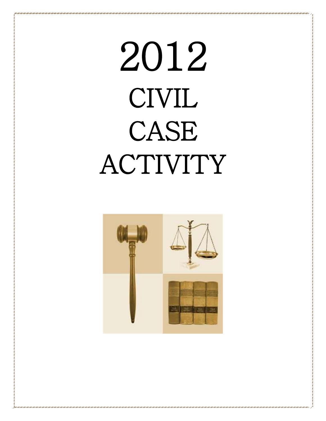# 2012 CIVIL CASE ACTIVITY

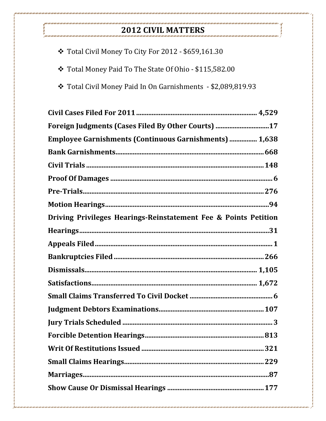# **2012 CIVIL MATTERS**

- \* Total Civil Money To City For 2012 \$659,161.30
- \* Total Money Paid To The State Of Ohio \$115,582.00
- \* Total Civil Money Paid In On Garnishments \$2,089,819.93

| Foreign Judgments (Cases Filed By Other Courts) 17              |  |
|-----------------------------------------------------------------|--|
| <b>Employee Garnishments (Continuous Garnishments)  1,638</b>   |  |
|                                                                 |  |
|                                                                 |  |
|                                                                 |  |
|                                                                 |  |
|                                                                 |  |
| Driving Privileges Hearings-Reinstatement Fee & Points Petition |  |
|                                                                 |  |
|                                                                 |  |
|                                                                 |  |
|                                                                 |  |
|                                                                 |  |
|                                                                 |  |
|                                                                 |  |
|                                                                 |  |
|                                                                 |  |
|                                                                 |  |
|                                                                 |  |
|                                                                 |  |
|                                                                 |  |
|                                                                 |  |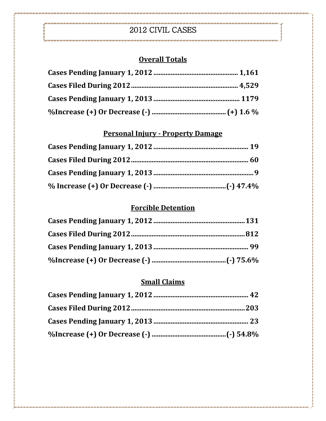# 2012 CIVIL CASES

.<br>השרים השרים בשרים של שורים לשרים רשובים שרוש בשרים בשרים בשרים של שרים של שרים בשרים בשרים שרים של שורים בשרים

# **Overall Totals**

# **Personal Injury - Property Damage**

# **Forcible Detention**

# **Small Claims**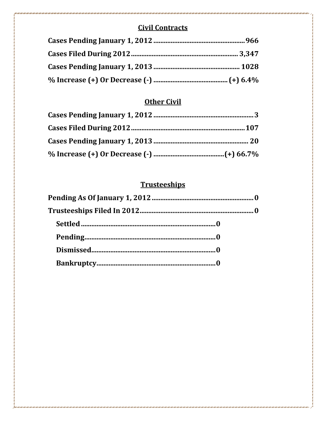# **Civil Contracts**

# **Other Civil**

# **Trusteeships**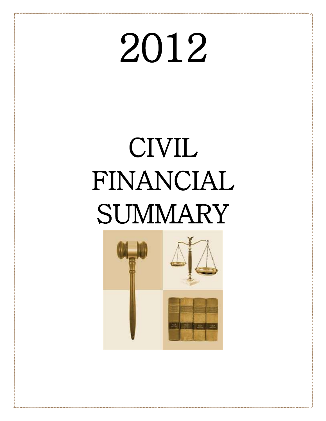# 2012

# CIVIL FINANCIAL **SUMMARY**

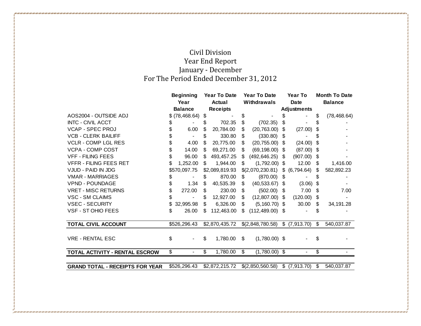# Civil Division Year End Report January - December For The Period Ended December 31, 2012

|                                        | <b>Beginning</b>               |    | Year To Date    |                           | <b>Year To Date</b>               |     | Year To            |     | <b>Month To Date</b> |
|----------------------------------------|--------------------------------|----|-----------------|---------------------------|-----------------------------------|-----|--------------------|-----|----------------------|
|                                        | Year                           |    | Actual          |                           | Withdrawals                       |     | Date               |     | <b>Balance</b>       |
|                                        | <b>Balance</b>                 |    | <b>Receipts</b> |                           |                                   |     | <b>Adjustments</b> |     |                      |
| AOS2004 - OUTSIDE ADJ                  | \$ (78, 468.64)                | \$ |                 | \$                        |                                   | \$  |                    | \$  | (78, 468.64)         |
| <b>INTC - CIVIL ACCT</b>               | \$                             | \$ | 702.35          | \$                        | (702.35)                          | \$  |                    |     |                      |
| <b>VCAP - SPEC PROJ</b>                | \$<br>6.00                     | S  | 20,784.00       | \$                        | (20, 763.00)                      | S   | (27.00)            | \$  |                      |
| <b>VCB - CLERK BAILIFF</b>             | \$                             | \$ | 330.80          | \$                        | (330.80)                          | S   |                    | \$  |                      |
| <b>VCLR - COMP LGL RES</b>             | \$<br>4.00                     | \$ | 20,775.00       | \$                        | $(20, 755.00)$ \$                 |     | (24.00)            | \$  |                      |
| <b>VCPA - COMP COST</b>                | \$<br>14.00                    | \$ | 69,271.00       | \$                        | $(69, 198.00)$ \$                 |     | (87.00)            | \$  |                      |
| <b>VFF - FILING FEES</b>               | \$<br>96.00                    | \$ | 493,457.25      | \$                        | $(492, 646.25)$ \$                |     | (907.00)           | \$  |                      |
| VFFR - FILING FEES RET                 | \$<br>1,252.00                 | \$ | 1,944.00        | \$                        | $(1,792.00)$ \$                   |     | 12.00              | S   | 1,416.00             |
| VJUD - PAID IN JDG                     | \$570,097.75                   |    | \$2,089,819.93  |                           | \$(2,070,230.81)                  | \$  | (6,794.64)         | \$  | 582,892.23           |
| <b>VMAR - MARRIAGES</b>                | \$                             | \$ | 870.00          | S                         | (870.00)                          | \$. |                    | S   |                      |
| <b>VPND - POUNDAGE</b>                 | \$<br>1.34                     | S  | 40,535.39       | \$                        | (40, 533.67)                      | -S  | (3.06)             | \$  |                      |
| <b>VRET - MISC RETURNS</b>             | \$<br>272.00                   | \$ | 230.00          | \$                        | $(502.00)$ \$                     |     | 7.00               | \$. | 7.00                 |
| VSC - SM CLAIMS                        | \$                             | \$ | 12,927.00       | \$                        | $(12,807.00)$ \$                  |     | (120.00)           | \$  |                      |
| <b>VSEC - SECURITY</b>                 | \$<br>32,995.98                | \$ | 6,326.00        | \$                        | $(5, 160.70)$ \$                  |     | 30.00              | \$  | 34,191.28            |
| VSF - STOHIO FEES                      | \$<br>26.00                    | S  | 112,463.00      | \$.                       | $(112, 489.00)$ \$                |     |                    | \$  |                      |
| <b>TOTAL CIVIL ACCOUNT</b>             | \$526,296.43                   |    | \$2,870,435.72  |                           | $$(2,848,780.58)$ \$ $(7,913.70)$ |     |                    | \$  | 540,037.87           |
|                                        |                                |    |                 |                           |                                   |     |                    |     |                      |
| <b>VRE - RENTAL ESC</b>                | \$                             | \$ | 1,780.00        | \$                        | $(1,780.00)$ \$                   |     |                    | \$  |                      |
| <b>TOTAL ACTIVITY - RENTAL ESCROW</b>  | \$<br>$\overline{\phantom{a}}$ | \$ | 1,780.00        | $\boldsymbol{\mathsf{S}}$ | $(1,780.00)$ \$                   |     |                    | \$  |                      |
|                                        |                                |    |                 |                           |                                   |     |                    |     |                      |
| <b>GRAND TOTAL - RECEIPTS FOR YEAR</b> | \$526,296.43                   |    | \$2,872,215.72  |                           | \$(2,850,560.58)                  |     | \$ (7,913.70)      | \$  | 540,037.87           |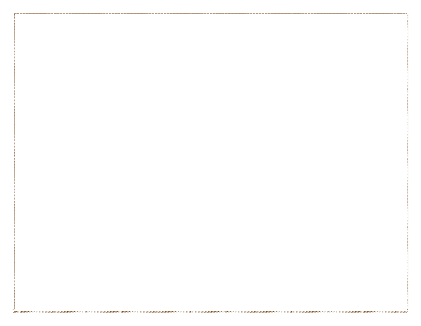ie ie kalender kalender kalender kalender kalender kalender kalender kalender kalender kalender kalender kalender kalender kale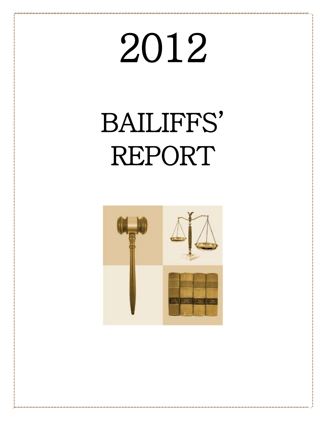# 2012

# BAILIFFS' REPORT

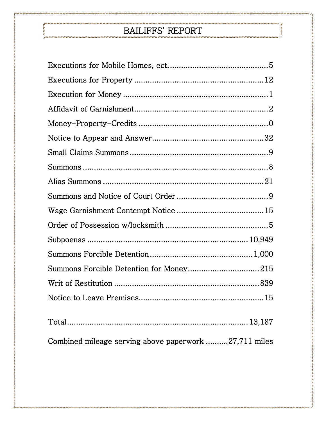# BAILIFFS' REPORT

| Summons Forcible Detention for Money215               |  |
|-------------------------------------------------------|--|
|                                                       |  |
|                                                       |  |
|                                                       |  |
|                                                       |  |
| Combined mileage serving above paperwork 27,711 miles |  |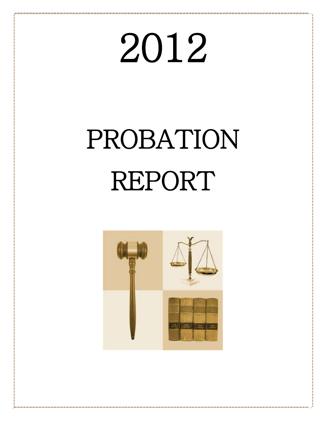# 2012

# PROBATION REPORT

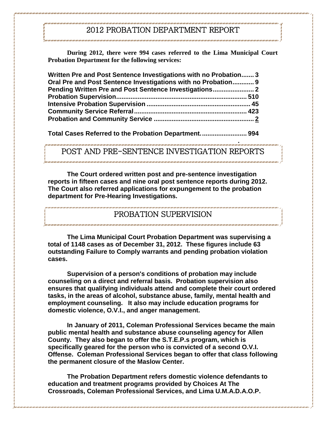# 2012 PROBATION DEPARTMENT REPORT

**During 2012, there were 994 cases referred to the Lima Municipal Court Probation Department for the following services:** 

| Written Pre and Post Sentence Investigations with no Probation 3 |  |
|------------------------------------------------------------------|--|
| Oral Pre and Post Sentence Investigations with no Probation 9    |  |
| Pending Written Pre and Post Sentence Investigations             |  |
|                                                                  |  |
|                                                                  |  |
|                                                                  |  |
|                                                                  |  |

**Total Cases Referred to the Probation Department.......................... 994**

# POST AND PRE-SENTENCE INVESTIGATION REPORTS

**.**

**The Court ordered written post and pre-sentence investigation reports in fifteen cases and nine oral post sentence reports during 2012. The Court also referred applications for expungement to the probation department for Pre-Hearing Investigations.**

## PROBATION SUPERVISION

**The Lima Municipal Court Probation Department was supervising a total of 1148 cases as of December 31, 2012. These figures include 63 outstanding Failure to Comply warrants and pending probation violation cases.**

**Supervision of a person's conditions of probation may include counseling on a direct and referral basis. Probation supervision also ensures that qualifying individuals attend and complete their court ordered tasks, in the areas of alcohol, substance abuse, family, mental health and employment counseling. It also may include education programs for domestic violence, O.V.I., and anger management.**

**In January of 2011, Coleman Professional Services became the main public mental health and substance abuse counseling agency for Allen County. They also began to offer the S.T.E.P.s program, which is specifically geared for the person who is convicted of a second O.V.I. Offense. Coleman Professional Services began to offer that class following the permanent closure of the Maslow Center.** 

**The Probation Department refers domestic violence defendants to education and treatment programs provided by Choices At The Crossroads, Coleman Professional Services, and Lima U.M.A.D.A.O.P.**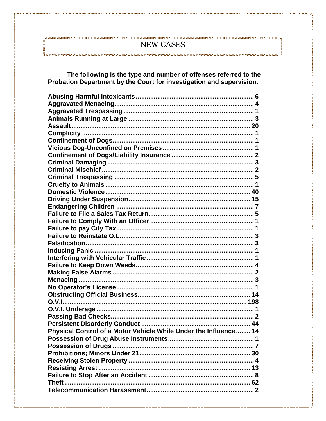# NEW CASES

The following is the type and number of offenses referred to the<br>Probation Department by the Court for investigation and supervision.

| Physical Control of a Motor Vehicle While Under the Influence 14 |
|------------------------------------------------------------------|
|                                                                  |
|                                                                  |
|                                                                  |
|                                                                  |
|                                                                  |
|                                                                  |
|                                                                  |
|                                                                  |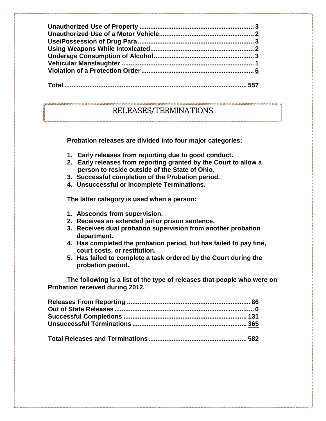# RELEASES/TERMINATIONS

**Probation releases are divided into four major categories:**

- **1. Early releases from reporting due to good conduct.**
- **2. Early releases from reporting granted by the Court to allow a person to reside outside of the State of Ohio.**
- **3. Successful completion of the Probation period.**
- **4. Unsuccessful or incomplete Terminations.**

**The latter category is used when a person:**

- **1. Absconds from supervision.**
- **2. Receives an extended jail or prison sentence.**
- **3. Receives dual probation supervision from another probation department.**
- **4. Has completed the probation period, but has failed to pay fine, court costs, or restitution.**
- **5. Has failed to complete a task ordered by the Court during the probation period.**

**The following is a list of the type of releases that people who were on Probation received during 2012.**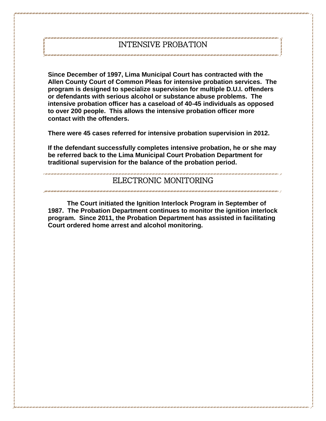## INTENSIVE PROBATION

**Since December of 1997, Lima Municipal Court has contracted with the Allen County Court of Common Pleas for intensive probation services. The program is designed to specialize supervision for multiple D.U.I. offenders or defendants with serious alcohol or substance abuse problems. The intensive probation officer has a caseload of 40-45 individuals as opposed to over 200 people. This allows the intensive probation officer more contact with the offenders.** 

**There were 45 cases referred for intensive probation supervision in 2012.**

**If the defendant successfully completes intensive probation, he or she may be referred back to the Lima Municipal Court Probation Department for traditional supervision for the balance of the probation period.**

## ELECTRONIC MONITORING

**The Court initiated the Ignition Interlock Program in September of 1987. The Probation Department continues to monitor the ignition interlock program. Since 2011, the Probation Department has assisted in facilitating Court ordered home arrest and alcohol monitoring.**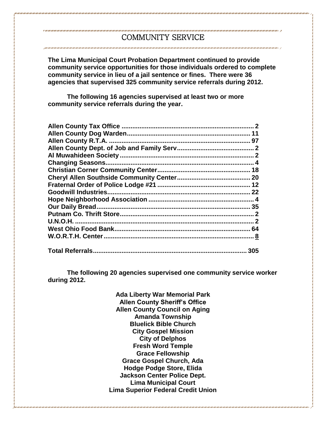# COMMUNITY SERVICE

**The Lima Municipal Court Probation Department continued to provide community service opportunities for those individuals ordered to complete community service in lieu of a jail sentence or fines. There were 36 agencies that supervised 325 community service referrals during 2012.**

**The following 16 agencies supervised at least two or more community service referrals during the year.**

| 305 |
|-----|

**The following 20 agencies supervised one community service worker during 2012.**

> **Ada Liberty War Memorial Park Allen County Sheriff's Office Allen County Council on Aging Amanda Township Bluelick Bible Church City Gospel Mission City of Delphos Fresh Word Temple Grace Fellowship Grace Gospel Church, Ada Hodge Podge Store, Elida Jackson Center Police Dept. Lima Municipal Court Lima Superior Federal Credit Union**